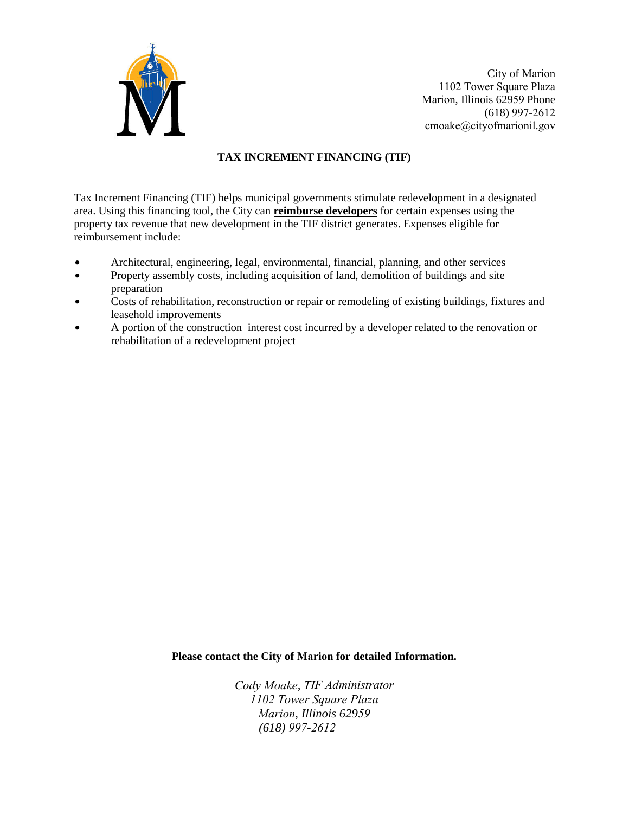

City of Marion 1102 Tower Square Plaza Marion, Illinois 62959 Phone (618) 997-2612 cmoake@cityofmarionil.gov

## **TAX INCREMENT FINANCING (TIF)**

Tax Increment Financing (TIF) helps municipal governments stimulate redevelopment in a designated area. Using this financing tool, the City can **reimburse developers** for certain expenses using the property tax revenue that new development in the TIF district generates. Expenses eligible for reimbursement include:

- $\bullet$  Architectural, engineering, legal, environmental, financial, planning, and other services
- Property assembly costs, including acquisition of land, demolition of buildings and site preparation
- Costs of rehabilitation, reconstruction or repair or remodeling of existing buildings, fixtures and leasehold improvements
- $\bullet$  A portion of the construction interest cost incurred by a developer related to the renovation or rehabilitation of a redevelopment project

**Please contact the City of Marion for detailed Information.** 

*[Cody M](mailto:steven.mitchell@explorecarbondale.com)oake, TIF Administrator 1102 Tower Square Plaza Marion, Illinois 62959 (618) 997-2612*